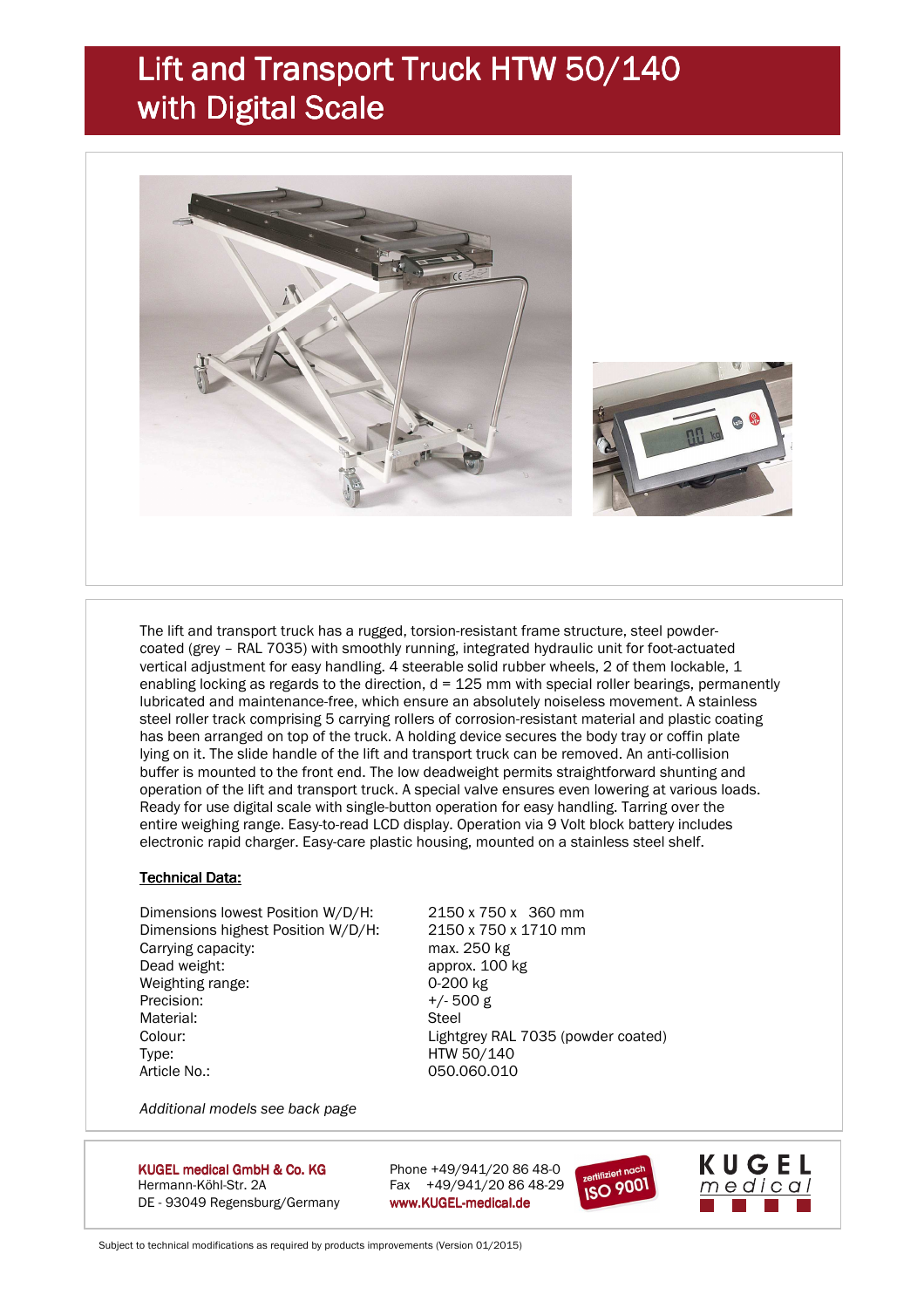### Lift and Transport Truck HTW 50/140 with Digital Scale



 The lift and transport truck has a rugged, torsion-resistant frame structure, steel powder coated (grey – RAL 7035) with smoothly running, integrated hydraulic unit for foot-actuated vertical adjustment for easy handling. 4 steerable solid rubber wheels, 2 of them lockable, 1 enabling locking as regards to the direction,  $d = 125$  mm with special roller bearings, permanently lubricated and maintenance-free, which ensure an absolutely noiseless movement. A stainless steel roller track comprising 5 carrying rollers of corrosion-resistant material and plastic coating has been arranged on top of the truck. A holding device secures the body tray or coffin plate lying on it. The slide handle of the lift and transport truck can be removed. An anti-collision buffer is mounted to the front end. The low deadweight permits straightforward shunting and operation of the lift and transport truck. A special valve ensures even lowering at various loads. Ready for use digital scale with single-button operation for easy handling. Tarring over the entire weighing range. Easy-to-read LCD display. Operation via 9 Volt block battery includes electronic rapid charger. Easy-care plastic housing, mounted on a stainless steel shelf.

#### **Technical Data:**

 Dimensions lowest Position W/D/H: 2150 x 750 x 360 mm Dimensions highest Position W/D/H: 2150 x 750 x 1710 mm Carrying capacity: max. 250 kg Dead weight: approx. 100 kg Weighting range: 0-200 kg Precision:  $+/-500 \text{ g}$ Material: Steel Colour: Lightgrey RAL 7035 (powder coated) Type: HTW 50/140 Article No.: 050.060.010

*Additional models see back page* 

KUGEL medical GmbH & Co. KG Hermann-Köhl-Str. 2A Fax +49/941/20 86 48-29 DE - 93049 Regensburg/Germany www.KUGEL-medical.de

Phone +49/941/20 86 48-0





Subject to technical modifications as required by products improvements (Version 01/2015)